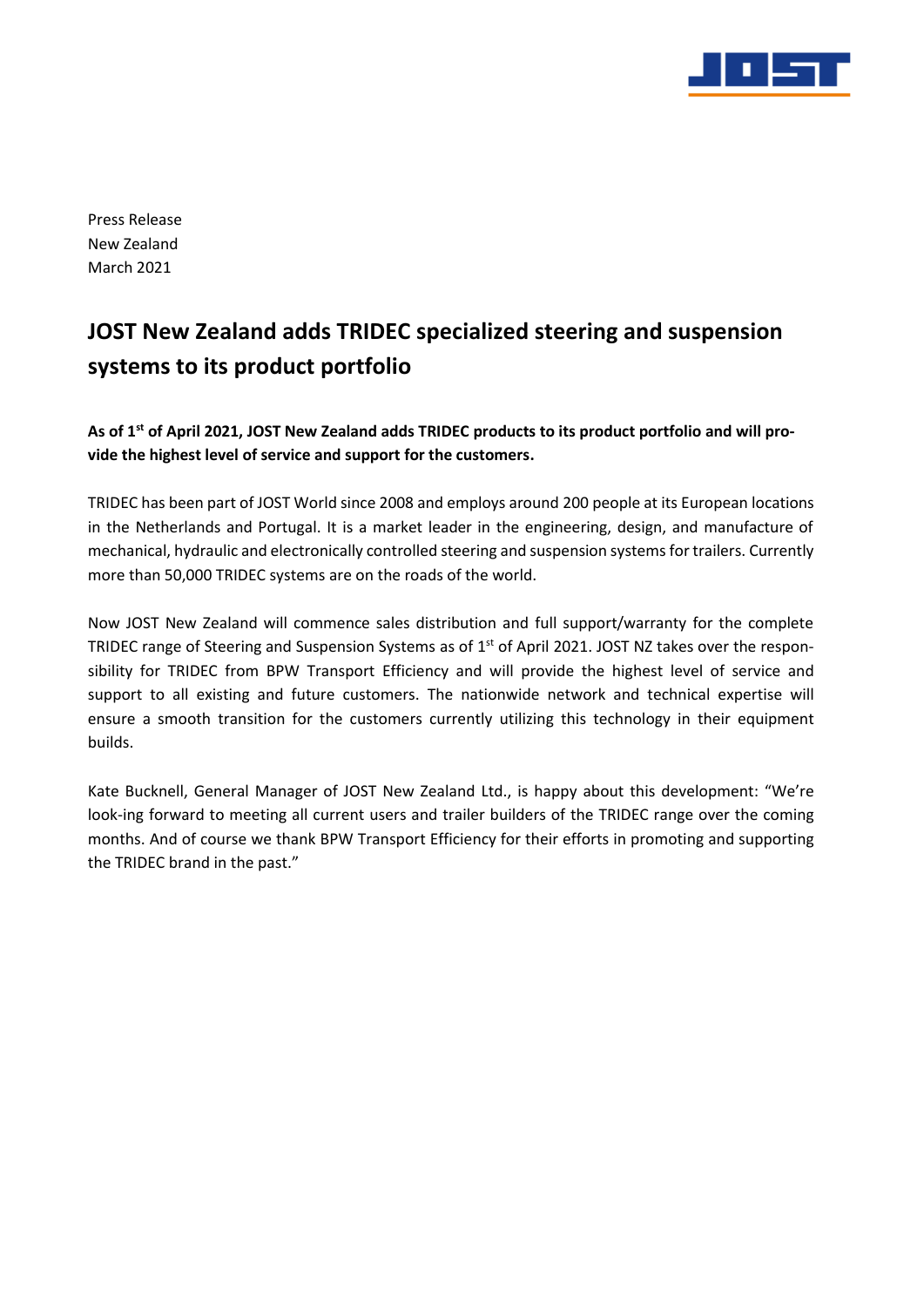

Press Release New Zealand March 2021

## **JOST New Zealand adds TRIDEC specialized steering and suspension systems to its product portfolio**

**As of 1 st of April 2021, JOST New Zealand adds TRIDEC products to its product portfolio and will provide the highest level of service and support for the customers.** 

TRIDEC has been part of JOST World since 2008 and employs around 200 people at its European locations in the Netherlands and Portugal. It is a market leader in the engineering, design, and manufacture of mechanical, hydraulic and electronically controlled steering and suspension systems for trailers. Currently more than 50,000 TRIDEC systems are on the roads of the world.

Now JOST New Zealand will commence sales distribution and full support/warranty for the complete TRIDEC range of Steering and Suspension Systems as of 1<sup>st</sup> of April 2021. JOST NZ takes over the responsibility for TRIDEC from BPW Transport Efficiency and will provide the highest level of service and support to all existing and future customers. The nationwide network and technical expertise will ensure a smooth transition for the customers currently utilizing this technology in their equipment builds.

Kate Bucknell, General Manager of JOST New Zealand Ltd., is happy about this development: "We're look-ing forward to meeting all current users and trailer builders of the TRIDEC range over the coming months. And of course we thank BPW Transport Efficiency for their efforts in promoting and supporting the TRIDEC brand in the past."